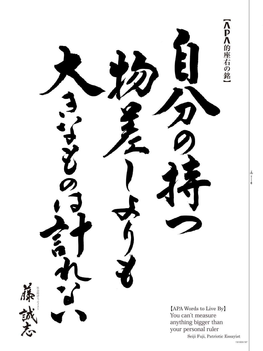